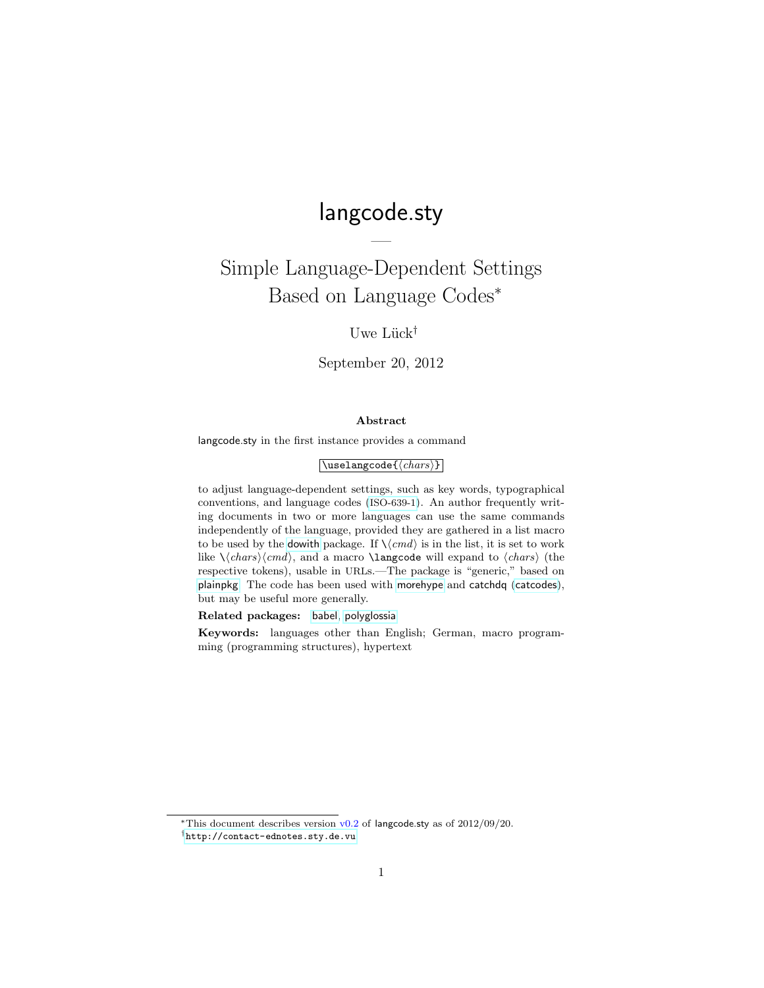# langcode.sty

—

Simple Language-Dependent Settings Based on Language Codes<sup>∗</sup>

## Uwe Lück<sup>†</sup>

September 20, 2012

#### Abstract

langcode.sty in the first instance provides a command

#### $\sqrt{\text{uselangcode}(\langle chars \rangle)}$

to adjust language-dependent settings, such as key words, typographical conventions, and language codes ([ISO-639-1](http://en.wikipedia.org/wiki/ISO-639-1)). An author frequently writing documents in two or more languages can use the same commands independently of the language, provided they are gathered in a list macro to be used by the [dowith](http://ctan.org/pkg/dowith) package. If  $\langle \langle cmd \rangle$  is in the list, it is set to work like  $\langle \cdot \rangle$  and a macro  $\langle \cdot \rangle$  and a macro ill expand to  $\langle \cdot \rangle$  (the respective tokens), usable in URLs.—The package is "generic," based on [plainpkg](http://ctan.org/pkg/plainpkg). The code has been used with [morehype](http://ctan.org/pkg/morehype) and catchdq ([catcodes](http://ctan.org/pkg/catcodes)), but may be useful more generally.

Related packages: [babel](http://ctan.org/pkg/babel), [polyglossia](http://ctan.org/pkg/polyglossia)

Keywords: languages other than English; German, macro programming (programming structures), hypertext

<sup>\*</sup>This document describes version  $v0.2$  of langcode.sty as of  $2012/09/20$ .

<sup>†</sup><http://contact-ednotes.sty.de.vu>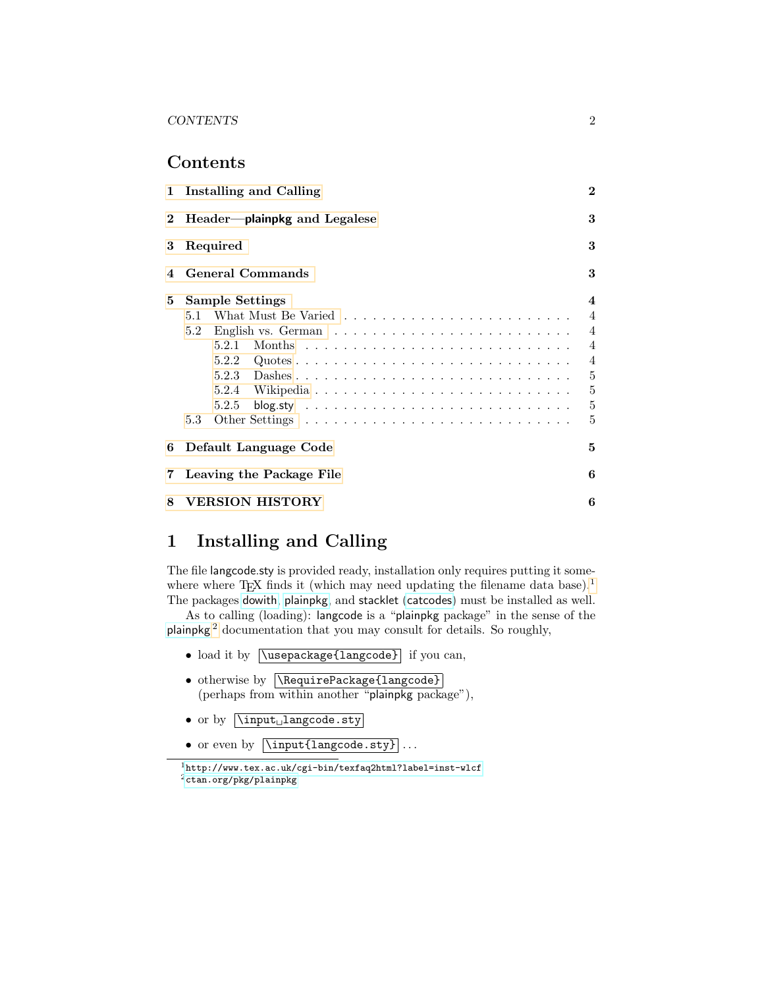### Contents

| 2 Header-plainpkg and Legalese<br>Required                                                                                               | 3<br>3                                                                                                              |  |  |
|------------------------------------------------------------------------------------------------------------------------------------------|---------------------------------------------------------------------------------------------------------------------|--|--|
|                                                                                                                                          |                                                                                                                     |  |  |
| 3                                                                                                                                        |                                                                                                                     |  |  |
| 3<br><b>General Commands</b><br>4                                                                                                        |                                                                                                                     |  |  |
| <b>Sample Settings</b><br>5.1<br>5.2<br>5.2.5<br>blog.sty $\ldots \ldots \ldots \ldots \ldots \ldots \ldots \ldots \ldots \ldots$<br>5.3 | $\overline{\mathbf{4}}$<br>$\overline{4}$<br>$\overline{4}$<br>$\overline{4}$<br>$\overline{4}$<br>5<br>5<br>5<br>5 |  |  |
| 5<br>6 Default Language Code                                                                                                             |                                                                                                                     |  |  |
| 6<br>$7\,$<br>Leaving the Package File                                                                                                   |                                                                                                                     |  |  |
| VERSION HISTORY<br>6                                                                                                                     |                                                                                                                     |  |  |
|                                                                                                                                          |                                                                                                                     |  |  |

## <span id="page-1-0"></span>1 Installing and Calling

The file langcode.sty is provided ready, installation only requires putting it some-where where TEX finds it (which may need updating the filename data base).<sup>[1](#page-1-1)</sup> The packages [dowith](http://ctan.org/pkg/dowith), [plainpkg](http://ctan.org/pkg/plainpkg), and stacklet ([catcodes](http://ctan.org/pkg/catcodes)) must be installed as well.

As to calling (loading): langcode is a "plainpkg package" in the sense of the [plainpkg](http://ctan.org/pkg/plainpkg) [2](#page-1-2) documentation that you may consult for details. So roughly,

- load it by  $\sqrt{\text{usepackage{language}}}$  if you can,
- otherwise by **\RequirePackage{langcode}** (perhaps from within another "plainpkg package"),
- or by  $\overline{\hbox{input}}_$ langcode.sty
- or even by  $\overline{\langle \text{language.sty} \rangle}$ ...

<span id="page-1-2"></span><span id="page-1-1"></span><sup>1</sup><http://www.tex.ac.uk/cgi-bin/texfaq2html?label=inst-wlcf>  $^2$ [ctan.org/pkg/plainpkg](http://ctan.org/pkg/plainpkg)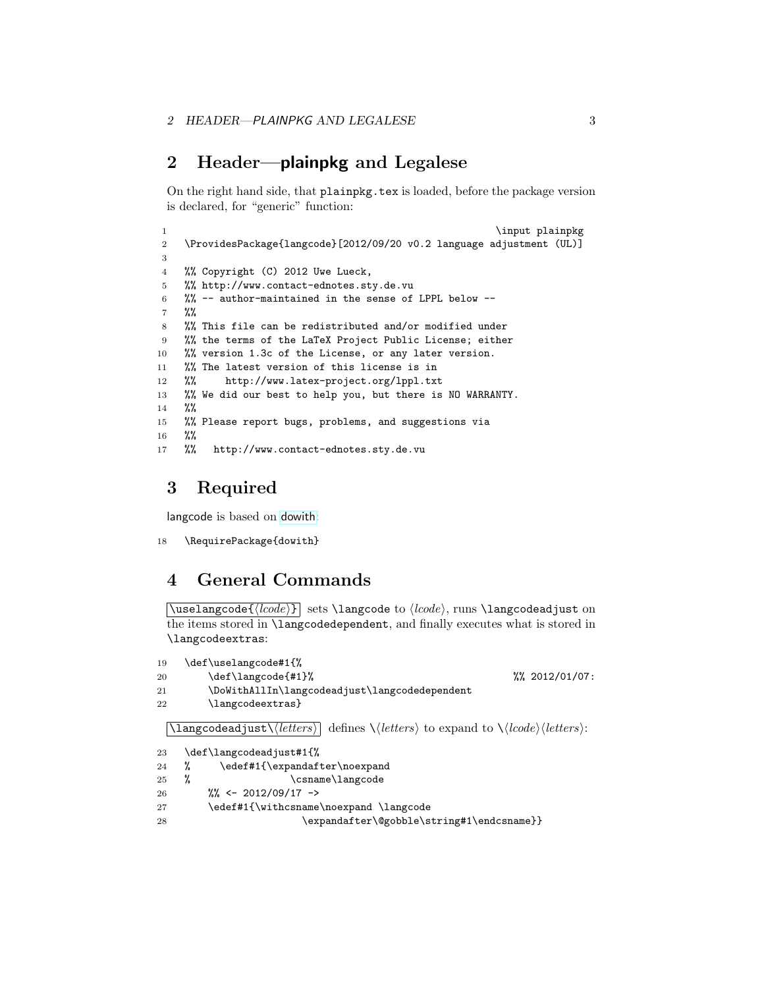## <span id="page-2-0"></span>2 Header—plainpkg and Legalese

On the right hand side, that plainpkg.tex is loaded, before the package version is declared, for "generic" function:

```
1 \input plainpkg
2 \ProvidesPackage{langcode}[2012/09/20 v0.2 language adjustment (UL)]
3
4 %% Copyright (C) 2012 Uwe Lueck,
5 %% http://www.contact-ednotes.sty.de.vu
6 %% -- author-maintained in the sense of LPPL below --
7 %%
8 %% This file can be redistributed and/or modified under
9 %% the terms of the LaTeX Project Public License; either
10 %% version 1.3c of the License, or any later version.
11 %% The latest version of this license is in
12 %% http://www.latex-project.org/lppl.txt
13 %% We did our best to help you, but there is NO WARRANTY.
14 %%
15 %% Please report bugs, problems, and suggestions via
16 %%
17 %% http://www.contact-ednotes.sty.de.vu
```
## <span id="page-2-1"></span>3 Required

langcode is based on [dowith](http://ctan.org/pkg/dowith):

```
18 \RequirePackage{dowith}
```
### <span id="page-2-2"></span>4 General Commands

 $\{\langle \text{closed} \rangle\}$  sets \langcode to  $\langle \text{closed} \rangle$ , runs \langcodeadjust on the items stored in \langcodedependent, and finally executes what is stored in \langcodeextras:

```
19 \def\uselangcode#1{%
20 \def\langcode{#1}% %% 2012/01/07:
21 \DoWithAllIn\langcodeadjust\langcodedependent
22 \langcodeextras}
  \langle \text{language=1} \rangle defines \langle \langle \text{letters} \rangle to expand to \langle \text{locked} \rangle:
23 \def\langcodeadjust#1{%
24 % \edef#1{\expandafter\noexpand
```

```
25 % \csname\langcode
26 %% <- 2012/09/17 ->
27 \edef#1{\withcsname\noexpand \langcode
28 \expandafter\@gobble\string#1\endcsname}}
```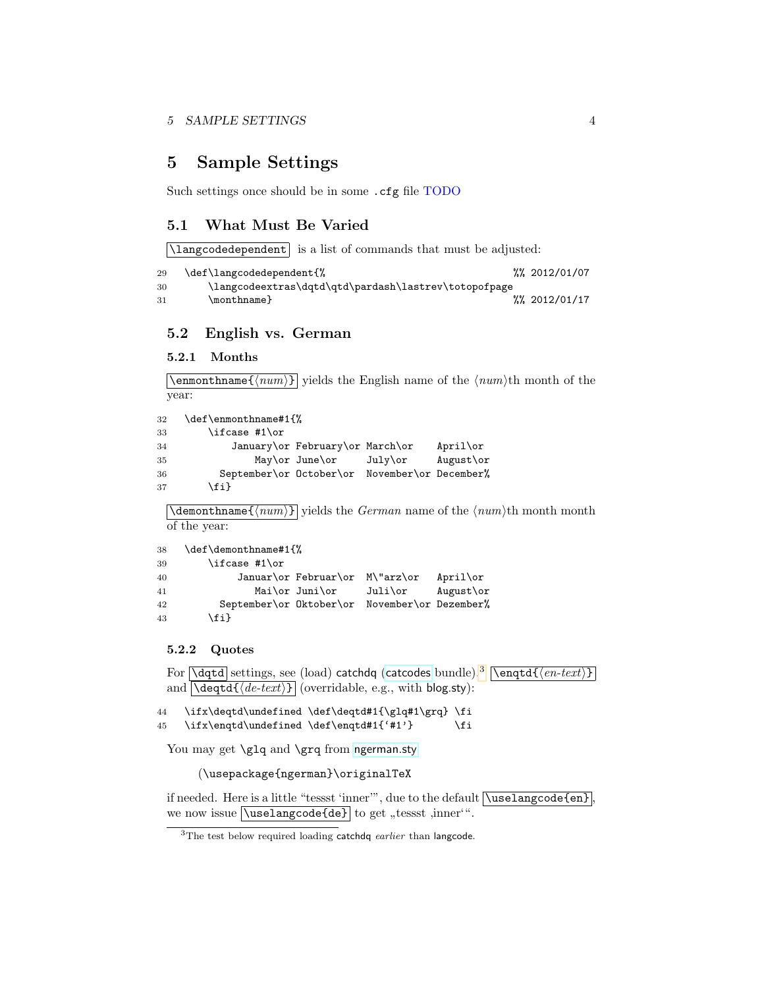## <span id="page-3-0"></span>5 Sample Settings

Such settings once should be in some .cfg file TODO

#### <span id="page-3-1"></span>5.1 What Must Be Varied

\langcodedependent is a list of commands that must be adjusted:

```
29 \def\langcodedependent{% %% 2012/01/07
30 \langcodeextras\dqtd\qtd\pardash\lastrev\totopofpage
31 \monthname} %% 2012/01/17
```
#### <span id="page-3-2"></span>5.2 English vs. German

#### <span id="page-3-3"></span>5.2.1 Months

 $\text{lemma} {\text{num}} {\text{yields the English name of the } \text{num}}$  the month of the year:

```
32 \def\enmonthname#1{%
33 \ifcase #1\or
34 January\or February\or March\or April\or
35 May\or June\or July\or August\or
36 September\or October\or November\or December%
37 \fi}
```
 $\Lambda$ demonthname $\{\langle num \rangle\}$  yields the *German* name of the  $\langle num \rangle$ th month month of the year:

```
38 \def\demonthname#1{%
39 \ifcase #1\or
40 Januar\or Februar\or M\"arz\or April\or
41 Mai\or Juni\or Juli\or August\or
42 September\or Oktober\or November\or Dezember%
43 \{f_i\}
```
#### <span id="page-3-4"></span>5.2.2 Quotes

For  $\overline{\det}$  settings, see (load) catchdq ([catcodes](http://ctan.org/pkg/catcodes) bundle).<sup>[3](#page-3-5)</sup>  $\overline{\det{(\text{en-text})}}$ and  $\overline{\det{de\cdot text}}$  (overridable, e.g., with blog.sty):

```
44 \ifx\deqtd\undefined \def\deqtd#1{\glq#1\grq} \fi
45 \ifx\enqtd\undefined \def\enqtd#1{'#1'} \fi
```
You may get \glq and \grq from [ngerman.sty](http://ctan.org/pkg/ngerman)

(\usepackage{ngerman}\originalTeX

if needed. Here is a little "tessst 'inner"", due to the default **\uselangcode{en}**. we now issue  $\text{baseode{de}}$  to get "tessst ,inner".

<span id="page-3-5"></span> $3$ The test below required loading catchdq earlier than langcode.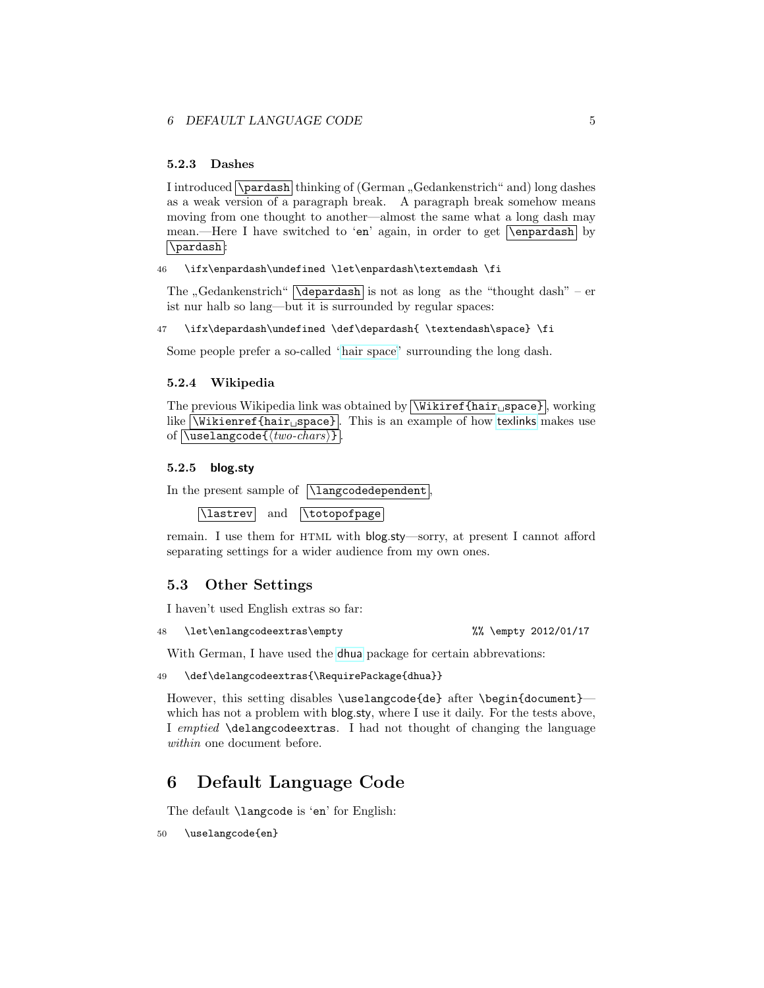#### <span id="page-4-0"></span>5.2.3 Dashes

I introduced  $\Delta$   $\Delta$   $\Delta$   $\Delta$   $\Delta$  thinking of (German  $\alpha$ , Gedankenstrich" and) long dashes as a weak version of a paragraph break. A paragraph break somehow means moving from one thought to another—almost the same what a long dash may mean.—Here I have switched to 'en' again, in order to get **\enpardash** by \pardash :

46 \ifx\enpardash\undefined \let\enpardash\textemdash \fi

The "Gedankenstrich"  $\lambda$  depardash is not as long as the "thought dash" – er ist nur halb so lang—but it is surrounded by regular spaces:

47 \ifx\depardash\undefined \def\depardash{ \textendash\space} \fi

Some people prefer a so-called ["hair space"](http://en.wikipedia.org/wiki/hair space) surrounding the long dash.

#### <span id="page-4-1"></span>5.2.4 Wikipedia

The previous Wikipedia link was obtained by  $\boxed{\text{Wikiref}\{\text{hair}_{\Box}\text{space}\}}$ , working like  $\text{Wikienref} \{hair \text{space}\}.$  This is an example of how [texlinks](http://ctan.org/pkg/texlinks) makes use of  $\langle \text{two-chars} \rangle$ 

#### <span id="page-4-2"></span>5.2.5 blog.sty

```
In the present sample of \langcodedependent
```
\lastrev and \totopofpage

remain. I use them for HTML with blog.sty—sorry, at present I cannot afford separating settings for a wider audience from my own ones.

#### <span id="page-4-3"></span>5.3 Other Settings

I haven't used English extras so far:

48 \let\enlangcodeextras\empty %% \empty 2012/01/17

With German, I have used the [dhua](http://ctan.org/pkg/dhua) package for certain abbrevations:

```
49 \def\delangcodeextras{\RequirePackage{dhua}}
```
However, this setting disables \uselangcode{de} after \begin{document} which has not a problem with blog.sty, where I use it daily. For the tests above, I emptied \delangcodeextras. I had not thought of changing the language within one document before.

## <span id="page-4-4"></span>6 Default Language Code

The default \langcode is 'en' for English:

50 \uselangcode{en}